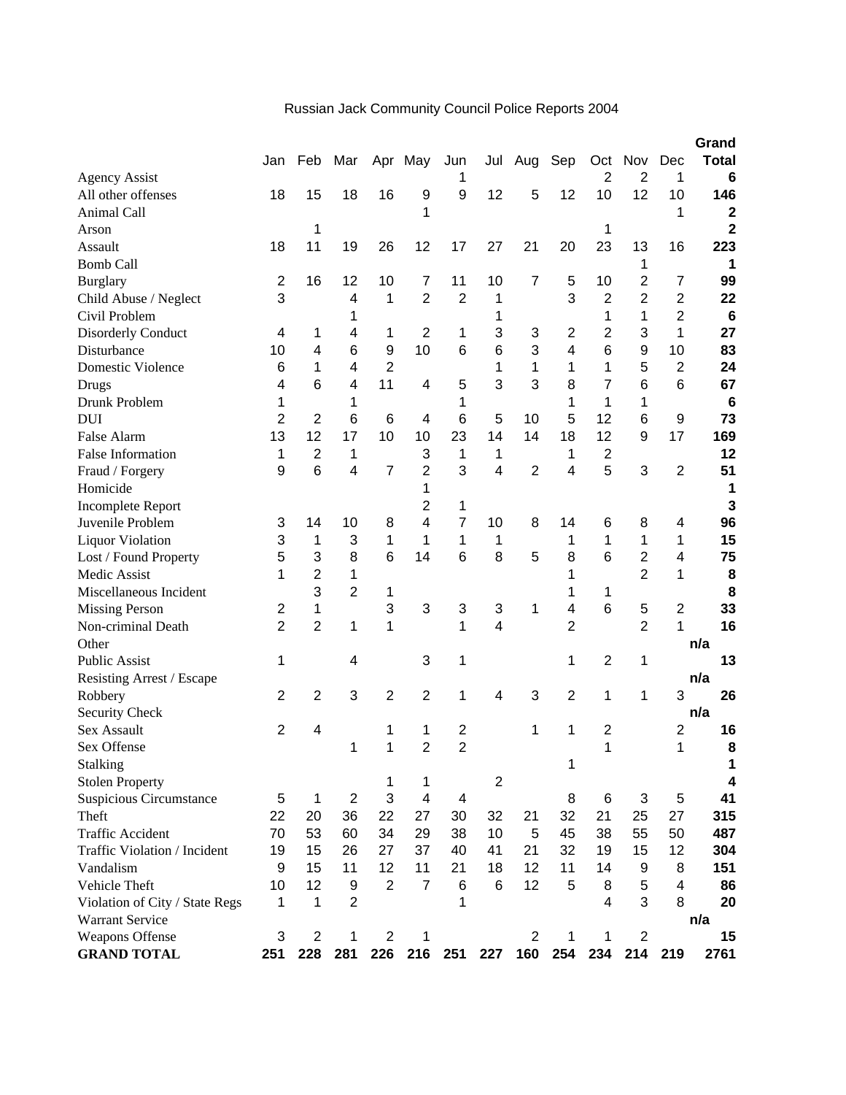|                                |                |                |                |                |                          |                |                |                |                |                 |                |                         | Grand                   |
|--------------------------------|----------------|----------------|----------------|----------------|--------------------------|----------------|----------------|----------------|----------------|-----------------|----------------|-------------------------|-------------------------|
|                                | Jan            | Feb            | Mar            |                | Apr May                  | Jun            | Jul            | Aug            | Sep            | Oct             | Nov            | Dec                     | <b>Total</b>            |
| <b>Agency Assist</b>           |                |                |                |                |                          |                |                |                |                | 2               | $\overline{2}$ | 1                       | 6                       |
| All other offenses             | 18             | 15             | 18             | 16             | 9                        | 9              | 12             | 5              | 12             | 10              | 12             | 10                      | 146                     |
| Animal Call                    |                |                |                |                | 1                        |                |                |                |                |                 |                | 1                       | $\mathbf 2$             |
| Arson                          |                | 1              |                |                |                          |                |                |                |                | 1               |                |                         | $\overline{\mathbf{2}}$ |
| Assault                        | 18             | 11             | 19             | 26             | 12                       | 17             | 27             | 21             | 20             | 23              | 13             | 16                      | 223                     |
| <b>Bomb Call</b>               |                |                |                |                |                          |                |                |                |                |                 | 1              |                         | 1                       |
| <b>Burglary</b>                | $\overline{2}$ | 16             | 12             | 10             | 7                        | 11             | 10             | 7              | 5              | 10              | 2              | 7                       | 99                      |
| Child Abuse / Neglect          | 3              |                | 4              | 1              | $\overline{2}$           | $\overline{2}$ | 1              |                | 3              | $\overline{2}$  | $\overline{2}$ | 2                       | 22                      |
| Civil Problem                  |                |                | 1              |                |                          |                | 1              |                |                | 1               | 1              | $\overline{2}$          | $6\phantom{1}6$         |
| <b>Disorderly Conduct</b>      | 4              | 1              | 4              | 1              | $\overline{2}$           | 1              | 3              | 3              | 2              | 2               | 3              | 1                       | 27                      |
| Disturbance                    | 10             | 4              | 6              | 9              | 10                       | 6              | 6              | 3              | 4              | $6\phantom{1}6$ | 9              | 10                      | 83                      |
| Domestic Violence              | 6              | 1              | 4              | $\overline{2}$ |                          |                | 1              | 1              | 1              | 1               | 5              | $\overline{2}$          | 24                      |
| Drugs                          | 4              | 6              | 4              | 11             | 4                        | 5              | 3              | 3              | 8              | 7               | 6              | 6                       | 67                      |
| Drunk Problem                  | 1              |                | 1              |                |                          | 1              |                |                | 1              | 1               | 1              |                         | $6\phantom{1}6$         |
| <b>DUI</b>                     | $\overline{2}$ | 2              | 6              | 6              | 4                        | 6              | 5              | 10             | 5              | 12              | 6              | 9                       | 73                      |
| False Alarm                    | 13             | 12             | 17             | 10             | 10                       | 23             | 14             | 14             | 18             | 12              | 9              | 17                      | 169                     |
| <b>False Information</b>       | 1              | $\overline{2}$ | 1              |                | 3                        | 1              | 1              |                | 1              | $\overline{2}$  |                |                         | 12                      |
| Fraud / Forgery                | 9              | 6              | 4              | $\overline{7}$ | 2                        | 3              | 4              | $\overline{2}$ | 4              | 5               | 3              | $\overline{2}$          | 51                      |
| Homicide                       |                |                |                |                | 1                        |                |                |                |                |                 |                |                         | 1                       |
| <b>Incomplete Report</b>       |                |                |                |                | 2                        | 1              |                |                |                |                 |                |                         | 3                       |
| Juvenile Problem               | 3              | 14             | 10             | 8              | 4                        | 7              | 10             | 8              | 14             | 6               | 8              | 4                       | 96                      |
| <b>Liquor Violation</b>        | 3              | 1              | 3              | 1              | 1                        | 1              | 1              |                | 1              | 1               | 1              | 1                       | 15                      |
| Lost / Found Property          | 5              | 3              | 8              | 6              | 14                       | 6              | 8              | 5              | 8              | 6               | $\overline{2}$ | 4                       | 75                      |
| Medic Assist                   | 1              | $\overline{2}$ | 1              |                |                          |                |                |                | 1              |                 | $\overline{2}$ | 1                       | 8                       |
| Miscellaneous Incident         |                | 3              | $\overline{2}$ | 1              |                          |                |                |                | 1              | 1               |                |                         | 8                       |
| <b>Missing Person</b>          | 2              | 1              |                | 3              | 3                        | 3              | 3              | 1              | 4              | $6\phantom{1}6$ | 5              | 2                       | 33                      |
| Non-criminal Death             | $\overline{2}$ | $\overline{2}$ | 1              | 1              |                          | 1              | $\overline{4}$ |                | $\overline{2}$ |                 | $\overline{2}$ | 1                       | 16                      |
| Other                          |                |                |                |                |                          |                |                |                |                |                 |                |                         | n/a                     |
| <b>Public Assist</b>           | 1              |                | 4              |                | 3                        | 1              |                |                | 1              | $\overline{2}$  | 1              |                         | 13                      |
| Resisting Arrest / Escape      |                |                |                |                |                          |                |                |                |                |                 |                |                         | n/a                     |
| Robbery                        | 2              | 2              | 3              | $\overline{2}$ | $\overline{2}$           | 1              | 4              | 3              | $\overline{2}$ | 1               | 1              | 3                       | 26                      |
| Security Check                 |                |                |                |                |                          |                |                |                |                |                 |                |                         | n/a                     |
| Sex Assault                    | 2              | 4              |                | 1              | 1                        | 2              |                | 1              | 1              | 2               |                | $\overline{\mathbf{c}}$ | 16                      |
| Sex Offense                    |                |                | 1              | 1              | $\overline{2}$           | $\overline{2}$ |                |                |                | 1               |                | 1                       | 8                       |
| <b>Stalking</b>                |                |                |                |                |                          |                |                |                | 1              |                 |                |                         | 1                       |
| <b>Stolen Property</b>         |                |                |                | $\mathbf 1$    | 1                        |                | $\overline{2}$ |                |                |                 |                |                         | 4                       |
| <b>Suspicious Circumstance</b> | 5              | $\mathbf 1$    | $\overline{2}$ | 3              | $\overline{\mathcal{A}}$ | 4              |                |                | 8              | $\,6$           | $\sqrt{3}$     | 5                       | 41                      |
| Theft                          | 22             | 20             | 36             | 22             | 27                       | 30             | 32             | 21             | 32             | 21              | 25             | 27                      | 315                     |
| <b>Traffic Accident</b>        | 70             | 53             | 60             | 34             | 29                       | 38             | 10             | 5              | 45             | 38              | 55             | 50                      | 487                     |
| Traffic Violation / Incident   | 19             | 15             | 26             | 27             | 37                       | 40             | 41             | 21             | 32             | 19              | 15             | 12                      | 304                     |
| Vandalism                      | 9              | 15             | 11             | 12             | 11                       | 21             | 18             | 12             | 11             | 14              | 9              | 8                       | 151                     |
| Vehicle Theft                  | 10             | 12             | 9              | 2              | $\overline{7}$           | 6              | 6              | 12             | 5              | 8               | 5              | 4                       | 86                      |
| Violation of City / State Regs | 1              | 1              | $\overline{2}$ |                |                          | 1              |                |                |                | $\overline{4}$  | 3              | 8                       | 20                      |
| <b>Warrant Service</b>         |                |                |                |                |                          |                |                |                |                |                 |                |                         | n/a                     |
| Weapons Offense                | 3              | $\overline{2}$ | 1              | $\overline{2}$ | 1                        |                |                | 2              | 1              | 1               | $\overline{2}$ |                         | 15                      |
| <b>GRAND TOTAL</b>             | 251            | 228            | 281            | 226            |                          | 216 251        | 227            | 160            | 254            | 234             |                | 214 219                 | 2761                    |

## Russian Jack Community Council Police Reports 2004